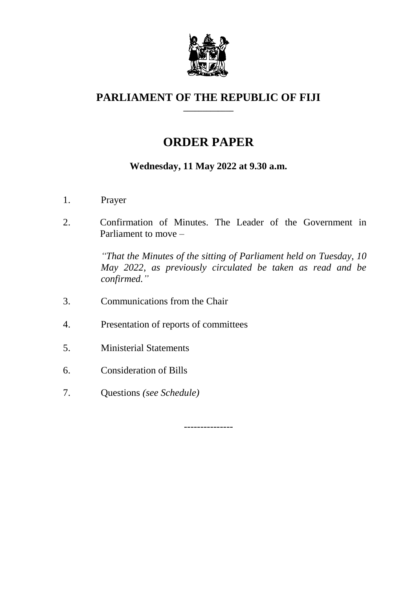

#### **PARLIAMENT OF THE REPUBLIC OF FIJI \_\_\_\_\_\_\_\_\_\_\_\_\_**

# **ORDER PAPER**

## **Wednesday, 11 May 2022 at 9.30 a.m.**

- 1. Prayer
- 2. Confirmation of Minutes. The Leader of the Government in Parliament to move –

*"That the Minutes of the sitting of Parliament held on Tuesday, 10 May 2022, as previously circulated be taken as read and be confirmed."*

- 3. Communications from the Chair
- 4. Presentation of reports of committees
- 5. Ministerial Statements
- 6. Consideration of Bills
- 7. Questions *(see Schedule)*

---------------